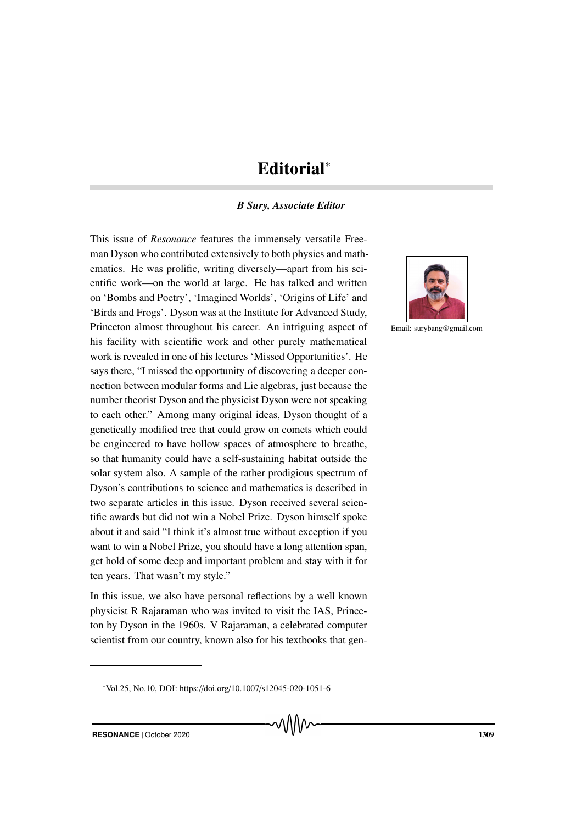## Editorial<sup>∗</sup>

## *B Sury, Associate Editor*

This issue of *Resonance* features the immensely versatile Freeman Dyson who contributed extensively to both physics and mathematics. He was prolific, writing diversely—apart from his scientific work—on the world at large. He has talked and written on 'Bombs and Poetry', 'Imagined Worlds', 'Origins of Life' and 'Birds and Frogs'. Dyson was at the Institute for Advanced Study, Princeton almost throughout his career. An intriguing aspect of his facility with scientific work and other purely mathematical work is revealed in one of his lectures 'Missed Opportunities'. He says there, "I missed the opportunity of discovering a deeper connection between modular forms and Lie algebras, just because the number theorist Dyson and the physicist Dyson were not speaking to each other." Among many original ideas, Dyson thought of a genetically modified tree that could grow on comets which could be engineered to have hollow spaces of atmosphere to breathe, so that humanity could have a self-sustaining habitat outside the solar system also. A sample of the rather prodigious spectrum of Dyson's contributions to science and mathematics is described in two separate articles in this issue. Dyson received several scientific awards but did not win a Nobel Prize. Dyson himself spoke about it and said "I think it's almost true without exception if you want to win a Nobel Prize, you should have a long attention span, get hold of some deep and important problem and stay with it for ten years. That wasn't my style."

In this issue, we also have personal reflections by a well known physicist R Rajaraman who was invited to visit the IAS, Princeton by Dyson in the 1960s. V Rajaraman, a celebrated computer scientist from our country, known also for his textbooks that gen-



Email: surybang@gmail.com

<sup>∗</sup>Vol.25, No.10, DOI: https://doi.org/10.1007/s12045-020-1051-6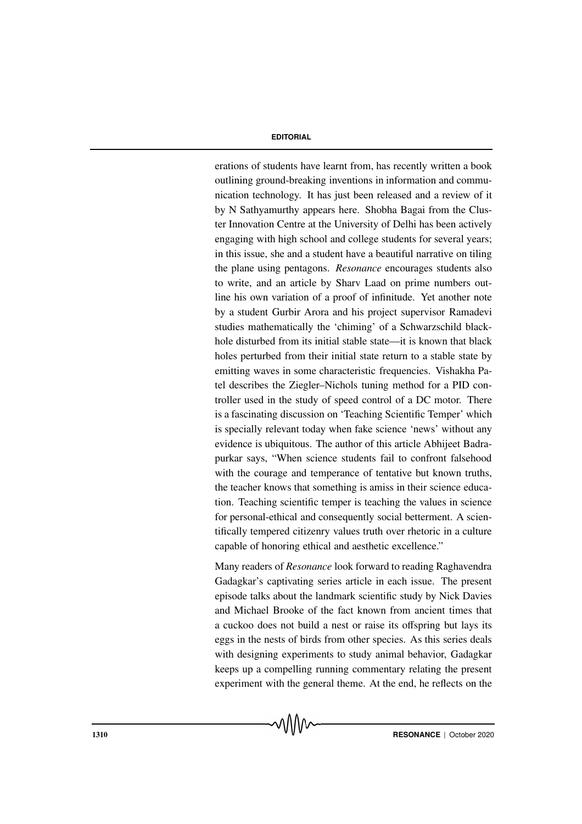## **EDITORIAL**

erations of students have learnt from, has recently written a book outlining ground-breaking inventions in information and communication technology. It has just been released and a review of it by N Sathyamurthy appears here. Shobha Bagai from the Cluster Innovation Centre at the University of Delhi has been actively engaging with high school and college students for several years; in this issue, she and a student have a beautiful narrative on tiling the plane using pentagons. *Resonance* encourages students also to write, and an article by Sharv Laad on prime numbers outline his own variation of a proof of infinitude. Yet another note by a student Gurbir Arora and his project supervisor Ramadevi studies mathematically the 'chiming' of a Schwarzschild blackhole disturbed from its initial stable state—it is known that black holes perturbed from their initial state return to a stable state by emitting waves in some characteristic frequencies. Vishakha Patel describes the Ziegler–Nichols tuning method for a PID controller used in the study of speed control of a DC motor. There is a fascinating discussion on 'Teaching Scientific Temper' which is specially relevant today when fake science 'news' without any evidence is ubiquitous. The author of this article Abhijeet Badrapurkar says, "When science students fail to confront falsehood with the courage and temperance of tentative but known truths, the teacher knows that something is amiss in their science education. Teaching scientific temper is teaching the values in science for personal-ethical and consequently social betterment. A scientifically tempered citizenry values truth over rhetoric in a culture capable of honoring ethical and aesthetic excellence."

Many readers of *Resonance* look forward to reading Raghavendra Gadagkar's captivating series article in each issue. The present episode talks about the landmark scientific study by Nick Davies and Michael Brooke of the fact known from ancient times that a cuckoo does not build a nest or raise its offspring but lays its eggs in the nests of birds from other species. As this series deals with designing experiments to study animal behavior, Gadagkar keeps up a compelling running commentary relating the present experiment with the general theme. At the end, he reflects on the